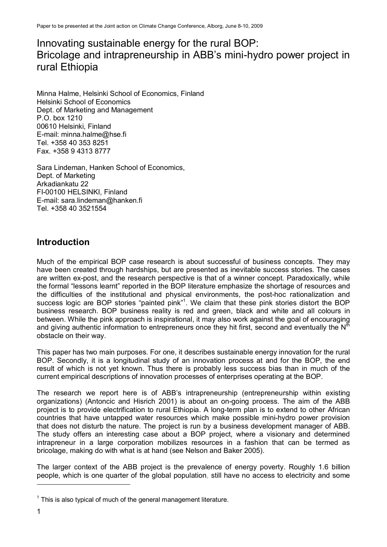# Innovating sustainable energy for the rural BOP: Bricolage and intrapreneurship in ABB's mini-hydro power project in rural Ethiopia

Minna Halme, Helsinki School of Economics, Finland Helsinki School of Economics Dept. of Marketing and Management P.O. box 1210 00610 Helsinki, Finland E-mail: minna.halme@hse.fi Tel. +358 40 353 8251 Fax. +358 9 4313 8777

Sara Lindeman, Hanken School of Economics, Dept. of Marketing Arkadiankatu 22 FI-00100 HELSINKI, Finland E-mail: sara.lindeman@hanken.fi Tel. +358 40 3521554

## **Introduction**

Much of the empirical BOP case research is about successful of business concepts. They may have been created through hardships, but are presented as inevitable success stories. The cases are written ex-post, and the research perspective is that of a winner concept. Paradoxically, while the formal "lessons learnt" reported in the BOP literature emphasize the shortage of resources and the difficulties of the institutional and physical environments, the post-hoc rationalization and success logic are BOP stories "painted pink"<sup>1</sup>. We claim that these pink stories distort the BOP business research. BOP business reality is red and green, black and white and all colours in between. While the pink approach is inspirational, it may also work against the goal of encouraging and giving authentic information to entrepreneurs once they hit first, second and eventually the N<sup>th</sup> obstacle on their way.

This paper has two main purposes. For one, it describes sustainable energy innovation for the rural BOP. Secondly, it is a longitudinal study of an innovation process at and for the BOP, the end result of which is not yet known. Thus there is probably less success bias than in much of the current empirical descriptions of innovation processes of enterprises operating at the BOP.

The research we report here is of ABB's intrapreneurship (entrepreneurship within existing organizations) (Antoncic and Hisrich 2001) is about an on-going process. The aim of the ABB project is to provide electrification to rural Ethiopia. A long-term plan is to extend to other African countries that have untapped water resources which make possible mini-hydro power provision that does not disturb the nature. The project is run by a business development manager of ABB. The study offers an interesting case about a BOP project, where a visionary and determined intrapreneur in a large corporation mobilizes resources in a fashion that can be termed as bricolage, making do with what is at hand (see Nelson and Baker 2005).

The larger context of the ABB project is the prevalence of energy poverty. Roughly 1.6 billion people, which is one quarter of the global population, still have no access to electricity and some -

 $1$  This is also typical of much of the general management literature.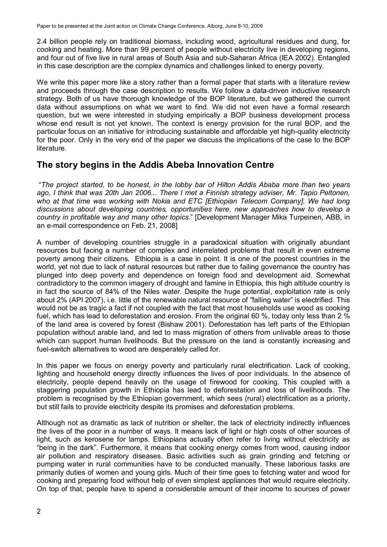2.4 billion people rely on traditional biomass, including wood, agricultural residues and dung, for cooking and heating. More than 99 percent of people without electricity live in developing regions, and four out of five live in rural areas of South Asia and sub-Saharan Africa (IEA 2002). Entangled in this case description are the complex dynamics and challenges linked to energy poverty.

We write this paper more like a story rather than a formal paper that starts with a literature review and proceeds through the case description to results. We follow a data-driven inductive research strategy. Both of us have thorough knowledge of the BOP literature, but we gathered the current data without assumptions on what we want to find. We did not even have a formal research question, but we were interested in studying empirically a BOP business development process whose end result is not yet known. The context is energy provision for the rural BOP, and the particular focus on an initiative for introducing sustainable and affordable yet high-quality electricity for the poor. Only in the very end of the paper we discuss the implications of the case to the BOP literature.

### **The story begins in the Addis Abeba Innovation Centre**

 "*The project started, to be honest, in the lobby bar of Hilton Addis Ababa more than two years ago, I think that was 20th Jan 2006... There I met a Finnish strategy adviser, Mr. Tapio Peltonen, who at that time was working with Nokia and ETC [Ethiopian Telecom Company]. We had long discussions about developing countries, opportunities here, new approaches how to develop a country in profitable way and many other topics*." [Development Manager Mika Turpeinen, ABB, in an e-mail correspondence on Feb. 21, 2008]

A number of developing countries struggle in a paradoxical situation with originally abundant resources but facing a number of complex and interrelated problems that result in even extreme poverty among their citizens. Ethiopia is a case in point. It is one of the poorest countries in the world, yet not due to lack of natural resources but rather due to failing governance the country has plunged into deep poverty and dependence on foreign food and development aid. Somewhat contradictory to the common imagery of drought and famine in Ethiopia, this high altitude country is in fact the source of 84% of the Niles water. Despite the huge potential, exploitation rate is only about 2% (API 2007), i.e. little of the renewable natural resource of "falling water" is electrified. This would not be as tragic a fact if not coupled with the fact that most households use wood as cooking fuel, which has lead to deforestation and erosion. From the original 60 %, today only less than 2 % of the land area is covered by forest (Bishaw 2001). Deforestation has left parts of the Ethiopian population without arable land, and led to mass migration of others from unlivable areas to those which can support human livelihoods. But the pressure on the land is constantly increasing and fuel-switch alternatives to wood are desperately called for.

In this paper we focus on energy poverty and particularly rural electrification. Lack of cooking, lighting and household energy directly influences the lives of poor individuals. In the absence of electricity, people depend heavily on the usage of firewood for cooking. This coupled with a staggering population growth in Ethiopia has lead to deforestation and loss of livelihoods. The problem is recognised by the Ethiopian government, which sees (rural) electrification as a priority, but still fails to provide electricity despite its promises and deforestation problems.

Although not as dramatic as lack of nutrition or shelter, the lack of electricity indirectly influences the lives of the poor in a number of ways. It means lack of light or high costs of other sources of light, such as kerosene for lamps. Ethiopians actually often refer to living without electricity as "being in the dark". Furthermore, it means that cooking energy comes from wood, causing indoor air pollution and respiratory diseases. Basic activities such as grain grinding and fetching or pumping water in rural communities have to be conducted manually. These laborious tasks are primarily duties of women and young girls. Much of their time goes to fetching water and wood for cooking and preparing food without help of even simplest appliances that would require electricity. On top of that, people have to spend a considerable amount of their income to sources of power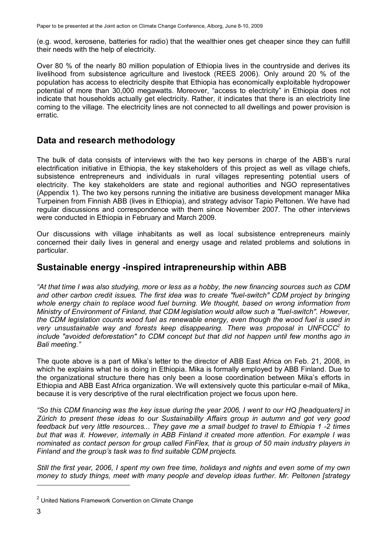(e.g. wood, kerosene, batteries for radio) that the wealthier ones get cheaper since they can fulfill their needs with the help of electricity.

Over 80 % of the nearly 80 million population of Ethiopia lives in the countryside and derives its livelihood from subsistence agriculture and livestock (REES 2006). Only around 20 % of the population has access to electricity despite that Ethiopia has economically exploitable hydropower potential of more than 30,000 megawatts. Moreover, "access to electricity" in Ethiopia does not indicate that households actually get electricity. Rather, it indicates that there is an electricity line coming to the village. The electricity lines are not connected to all dwellings and power provision is erratic.

### **Data and research methodology**

The bulk of data consists of interviews with the two key persons in charge of the ABB's rural electrification initiative in Ethiopia, the key stakeholders of this project as well as village chiefs, subsistence entrepreneurs and individuals in rural villages representing potential users of electricity. The key stakeholders are state and regional authorities and NGO representatives (Appendix 1). The two key persons running the initiative are business development manager Mika Turpeinen from Finnish ABB (lives in Ethiopia), and strategy advisor Tapio Peltonen. We have had regular discussions and correspondence with them since November 2007. The other interviews were conducted in Ethiopia in February and March 2009.

Our discussions with village inhabitants as well as local subsistence entrepreneurs mainly concerned their daily lives in general and energy usage and related problems and solutions in particular.

### **Sustainable energy -inspired intrapreneurship within ABB**

*"At that time I was also studying, more or less as a hobby, the new financing sources such as CDM and other carbon credit issues. The first idea was to create "fuel-switch" CDM project by bringing whole energy chain to replace wood fuel burning. We thought, based on wrong information from Ministry of Environment of Finland, that CDM legislation would allow such a "fuel-switch". However, the CDM legislation counts wood fuel as renewable energy, even though the wood fuel is used in very unsustainable way and forests keep disappearing. There was proposal in UNFCCC<sup>2</sup> to include "avoided deforestation" to CDM concept but that did not happen until few months ago in Bali meeting."* 

The quote above is a part of Mika's letter to the director of ABB East Africa on Feb. 21, 2008, in which he explains what he is doing in Ethiopia. Mika is formally employed by ABB Finland. Due to the organizational structure there has only been a loose coordination between Mika's efforts in Ethiopia and ABB East Africa organization. We will extensively quote this particular e-mail of Mika, because it is very descriptive of the rural electrification project we focus upon here.

*"So this CDM financing was the key issue during the year 2006, I went to our HQ [headquaters] in Zürich to present these ideas to our Sustainability Affairs group in autumn and got very good feedback but very little resources... They gave me a small budget to travel to Ethiopia 1 -2 times but that was it. However, internally in ABB Finland it created more attention. For example I was nominated as contact person for group called FinFlex, that is group of 50 main industry players in Finland and the group's task was to find suitable CDM projects.* 

*Still the first year, 2006, I spent my own free time, holidays and nights and even some of my own money to study things, meet with many people and develop ideas further. Mr. Peltonen [strategy* 

<sup>&</sup>lt;sup>2</sup> United Nations Framework Convention on Climate Change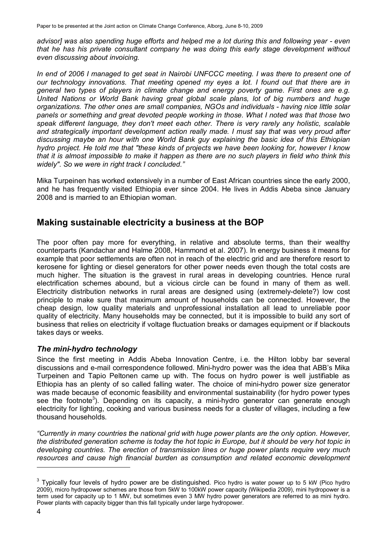*advisor] was also spending huge efforts and helped me a lot during this and following year - even that he has his private consultant company he was doing this early stage development without even discussing about invoicing.* 

*In end of 2006 I managed to get seat in Nairobi UNFCCC meeting. I was there to present one of our technology innovations. That meeting opened my eyes a lot. I found out that there are in general two types of players in climate change and energy poverty game. First ones are e.g. United Nations or World Bank having great global scale plans, lot of big numbers and huge organizations. The other ones are small companies, NGOs and individuals - having nice little solar panels or something and great devoted people working in those. What I noted was that those two speak different language, they don't meet each other. There is very rarely any holistic, scalable and strategically important development action really made. I must say that was very proud after discussing maybe an hour with one World Bank guy explaining the basic idea of this Ethiopian hydro project. He told me that "these kinds of projects we have been looking for, however I know that it is almost impossible to make it happen as there are no such players in field who think this widely". So we were in right track I concluded."* 

Mika Turpeinen has worked extensively in a number of East African countries since the early 2000, and he has frequently visited Ethiopia ever since 2004. He lives in Addis Abeba since January 2008 and is married to an Ethiopian woman.

### **Making sustainable electricity a business at the BOP**

The poor often pay more for everything, in relative and absolute terms, than their wealthy counterparts (Kandachar and Halme 2008, Hammond et al. 2007). In energy business it means for example that poor settlements are often not in reach of the electric grid and are therefore resort to kerosene for lighting or diesel generators for other power needs even though the total costs are much higher. The situation is the gravest in rural areas in developing countries. Hence rural electrification schemes abound, but a vicious circle can be found in many of them as well. Electricity distribution networks in rural areas are designed using (extremely-delete?) low cost principle to make sure that maximum amount of households can be connected. However, the cheap design, low quality materials and unprofessional installation all lead to unreliable poor quality of electricity. Many households may be connected, but it is impossible to build any sort of business that relies on electricity if voltage fluctuation breaks or damages equipment or if blackouts takes days or weeks.

### *The mini-hydro technology*

Since the first meeting in Addis Abeba Innovation Centre, i.e. the Hilton lobby bar several discussions and e-mail correspondence followed. Mini-hydro power was the idea that ABB's Mika Turpeinen and Tapio Peltonen came up with. The focus on hydro power is well justifiable as Ethiopia has an plenty of so called falling water. The choice of mini-hydro power size generator was made because of economic feasibility and environmental sustainability (for hydro power types see the footnote<sup>3</sup>). Depending on its capacity, a mini-hydro generator can generate enough electricity for lighting, cooking and various business needs for a cluster of villages, including a few thousand households.

*"Currently in many countries the national grid with huge power plants are the only option. However, the distributed generation scheme is today the hot topic in Europe, but it should be very hot topic in developing countries. The erection of transmission lines or huge power plants require very much resources and cause high financial burden as consumption and related economic development* 

 $3$  Typically four levels of hydro power are be distinguished. Pico hydro is water power up to 5 kW (Pico hydro 2009), micro hydropower schemes are those from 5kW to 100kW power capacity (Wikipedia 2009), mini hydropower is a term used for capacity up to 1 MW, but sometimes even 3 MW hydro power generators are referred to as mini hydro. Power plants with capacity bigger than this fall typically under large hydropower.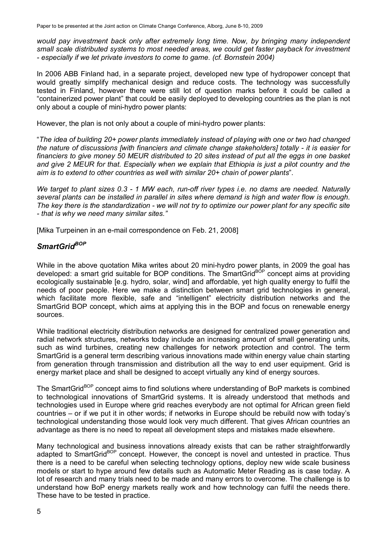*would pay investment back only after extremely long time. Now, by bringing many independent small scale distributed systems to most needed areas, we could get faster payback for investment - especially if we let private investors to come to game. (cf. Bornstein 2004)* 

In 2006 ABB Finland had, in a separate project, developed new type of hydropower concept that would greatly simplify mechanical design and reduce costs. The technology was successfully tested in Finland, however there were still lot of question marks before it could be called a "containerized power plant" that could be easily deployed to developing countries as the plan is not only about a couple of mini-hydro power plants:

However, the plan is not only about a couple of mini-hydro power plants:

"*The idea of building 20+ power plants immediately instead of playing with one or two had changed the nature of discussions [with financiers and climate change stakeholders] totally - it is easier for financiers to give money 50 MEUR distributed to 20 sites instead of put all the eggs in one basket and give 2 MEUR for that. Especially when we explain that Ethiopia is just a pilot country and the aim is to extend to other countries as well with similar 20+ chain of power plants*".

*We target to plant sizes 0.3 - 1 MW each, run-off river types i.e. no dams are needed. Naturally several plants can be installed in parallel in sites where demand is high and water flow is enough. The key there is the standardization - we will not try to optimize our power plant for any specific site - that is why we need many similar sites."* 

[Mika Turpeinen in an e-mail correspondence on Feb. 21, 2008]

### *SmartGridBOP*

While in the above quotation Mika writes about 20 mini-hydro power plants, in 2009 the goal has developed: a smart grid suitable for BOP conditions. The SmartGrid<sup>BOP</sup> concept aims at providing ecologically sustainable [e.g. hydro, solar, wind] and affordable, yet high quality energy to fulfil the needs of poor people. Here we make a distinction between smart grid technologies in general, which facilitate more flexible, safe and "intelligent" electricity distribution networks and the SmartGrid BOP concept, which aims at applying this in the BOP and focus on renewable energy sources.

While traditional electricity distribution networks are designed for centralized power generation and radial network structures, networks today include an increasing amount of small generating units, such as wind turbines, creating new challenges for network protection and control. The term SmartGrid is a general term describing various innovations made within energy value chain starting from generation through transmission and distribution all the way to end user equipment. Grid is energy market place and shall be designed to accept virtually any kind of energy sources.

The SmartGrid<sup>BOP</sup> concept aims to find solutions where understanding of BoP markets is combined to technological innovations of SmartGrid systems. It is already understood that methods and technologies used in Europe where grid reaches everybody are not optimal for African green field countries – or if we put it in other words; if networks in Europe should be rebuild now with today's technological understanding those would look very much different. That gives African countries an advantage as there is no need to repeat all development steps and mistakes made elsewhere.

Many technological and business innovations already exists that can be rather straightforwardly adapted to SmartGrid<sup>BOP</sup> concept. However, the concept is novel and untested in practice. Thus there is a need to be careful when selecting technology options, deploy new wide scale business models or start to hype around few details such as Automatic Meter Reading as is case today. A lot of research and many trials need to be made and many errors to overcome. The challenge is to understand how BoP energy markets really work and how technology can fulfil the needs there. These have to be tested in practice.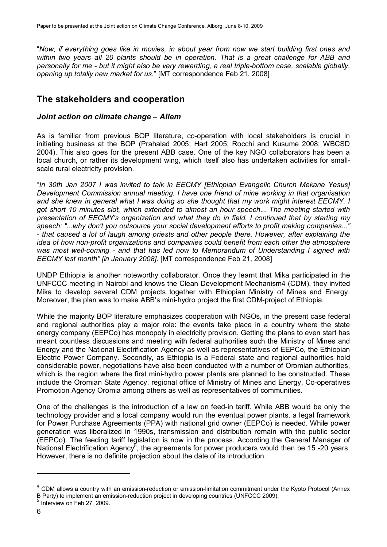"*Now, if everything goes like in movies, in about year from now we start building first ones and within two years all 20 plants should be in operation. That is a great challenge for ABB and personally for me - but it might also be very rewarding, a real triple-bottom case, scalable globally, opening up totally new market for us*." [MT correspondence Feb 21, 2008]

## **The stakeholders and cooperation**

#### *Joint action on climate change – Allem*

As is familiar from previous BOP literature, co-operation with local stakeholders is crucial in initiating business at the BOP (Prahalad 2005; Hart 2005; Rocchi and Kusume 2008; WBCSD 2004). This also goes for the present ABB case. One of the key NGO collaborators has been a local church, or rather its development wing, which itself also has undertaken activities for smallscale rural electricity provision.

"*In 30th Jan 2007 I was invited to talk in EECMY [Ethiopian Evangelic Church Mekane Yesus] Development Commission annual meeting. I have one friend of mine working in that organisation and she knew in general what I was doing so she thought that my work might interest EECMY. I got short 10 minutes slot, which extended to almost an hour speech... The meeting started with presentation of EECMY's organization and what they do in field. I continued that by starting my speech: "...why don't you outsource your social development efforts to profit making companies..." - that caused a lot of laugh among priests and other people there. However, after explaining the idea of how non-profit organizations and companies could benefit from each other the atmosphere was most well-coming - and that has led now to Memorandum of Understanding I signed with EECMY last month" [in January 2008].* [MT correspondence Feb 21, 2008]

UNDP Ethiopia is another noteworthy collaborator. Once they learnt that Mika participated in the UNFCCC meeting in Nairobi and knows the Clean Development Mechanism4 (CDM), they invited Mika to develop several CDM projects together with Ethiopian Ministry of Mines and Energy. Moreover, the plan was to make ABB's mini-hydro project the first CDM-project of Ethiopia.

While the majority BOP literature emphasizes cooperation with NGOs, in the present case federal and regional authorities play a major role: the events take place in a country where the state energy company (EEPCo) has monopoly in electricity provision. Getting the plans to even start has meant countless discussions and meeting with federal authorities such the Ministry of Mines and Energy and the National Electrification Agency as well as representatives of EEPCo, the Ethiopian Electric Power Company. Secondly, as Ethiopia is a Federal state and regional authorities hold considerable power, negotiations have also been conducted with a number of Oromian authorities, which is the region where the first mini-hydro power plants are planned to be constructed. These include the Oromian State Agency, regional office of Ministry of Mines and Energy, Co-operatives Promotion Agency Oromia among others as well as representatives of communities.

One of the challenges is the introduction of a law on feed-in tariff. While ABB would be only the technology provider and a local company would run the eventual power plants, a legal framework for Power Purchase Agreements (PPA) with national grid owner (EEPCo) is needed. While power generation was liberalized in 1990s, transmission and distribution remain with the public sector (EEPCo). The feeding tariff legislation is now in the process. According the General Manager of National Electrification Agency<sup>5</sup>, the agreements for power producers would then be 15 -20 years. However, there is no definite projection about the date of its introduction.

<sup>&</sup>lt;sup>4</sup> CDM allows a country with an emission-reduction or emission-limitation commitment under the Kyoto Protocol (Annex B Party) to implement an emission-reduction project in developing countries (UNFCCC 2009).

<sup>5</sup> Interview on Feb 27, 2009.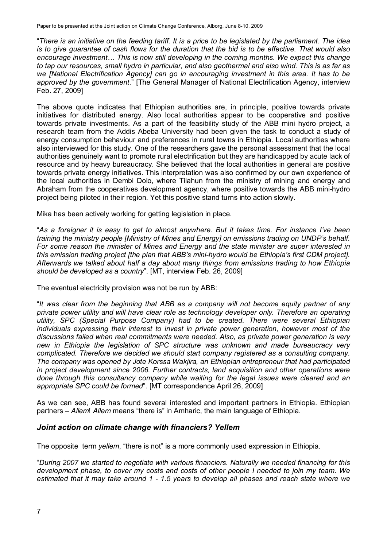"*There is an initiative on the feeding tariff. It is a price to be legislated by the parliament. The idea is to give guarantee of cash flows for the duration that the bid is to be effective. That would also encourage investment… This is now still developing in the coming months. We expect this change to tap our resources, small hydro in particular, and also geothermal and also wind. This is as far as we [National Electrification Agency] can go in encouraging investment in this area. It has to be approved by the government*." [The General Manager of National Electrification Agency, interview Feb. 27, 2009]

The above quote indicates that Ethiopian authorities are, in principle, positive towards private initiatives for distributed energy. Also local authorities appear to be cooperative and positive towards private investments. As a part of the feasibility study of the ABB mini hydro project, a research team from the Addis Abeba University had been given the task to conduct a study of energy consumption behaviour and preferences in rural towns in Ethiopia. Local authorities where also interviewed for this study. One of the researchers gave the personal assessment that the local authorities genuinely want to promote rural electrification but they are handicapped by acute lack of resource and by heavy bureaucracy. She believed that the local authorities in general are positive towards private energy initiatives. This interpretation was also confirmed by our own experience of the local authorities in Dembi Dolo, where Tilahun from the ministry of mining and energy and Abraham from the cooperatives development agency, where positive towards the ABB mini-hydro project being piloted in their region. Yet this positive stand turns into action slowly.

Mika has been actively working for getting legislation in place.

"*As a foreigner it is easy to get to almost anywhere. But it takes time. For instance I've been training the ministry people [Ministry of Mines and Energy] on emissions trading on UNDP's behalf. For some reason the minister of Mines and Energy and the state minister are super interested in this emission trading project [the plan that ABB's mini-hydro would be Ethiopia's first CDM project]. Afterwards we talked about half a day about many things from emissions trading to how Ethiopia should be developed as a country*". [MT, interview Feb. 26, 2009]

The eventual electricity provision was not be run by ABB:

"*It was clear from the beginning that ABB as a company will not become equity partner of any private power utility and will have clear role as technology developer only. Therefore an operating utility, SPC (Special Purpose Company) had to be created. There were several Ethiopian individuals expressing their interest to invest in private power generation, however most of the discussions failed when real commitments were needed. Also, as private power generation is very new in Ethiopia the legislation of SPC structure was unknown and made bureaucracy very complicated. Therefore we decided we should start company registered as a consulting company. The company was opened by Jote Korssa Wakjira, an Ethiopian entrepreneur that had participated in project development since 2006. Further contracts, land acquisition and other operations were done through this consultancy company while waiting for the legal issues were cleared and an appropriate SPC could be formed*". [MT correspondence April 26, 2009]

As we can see, ABB has found several interested and important partners in Ethiopia. Ethiopian partners – *Allem*! *Allem* means "there is" in Amharic, the main language of Ethiopia.

#### *Joint action on climate change with financiers? Yellem*

The opposite term *yellem*, "there is not" is a more commonly used expression in Ethiopia.

"*During 2007 we started to negotiate with various financiers. Naturally we needed financing for this development phase, to cover my costs and costs of other people I needed to join my team. We estimated that it may take around 1 - 1.5 years to develop all phases and reach state where we*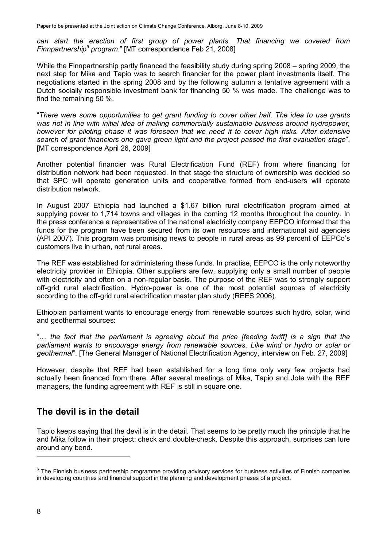*can start the erection of first group of power plants. That financing we covered from Finnpartnership<sup>6</sup> program*." [MT correspondence Feb 21, 2008]

While the Finnpartnership partly financed the feasibility study during spring 2008 – spring 2009, the next step for Mika and Tapio was to search financier for the power plant investments itself. The negotiations started in the spring 2008 and by the following autumn a tentative agreement with a Dutch socially responsible investment bank for financing 50 % was made. The challenge was to find the remaining 50 %.

"*There were some opportunities to get grant funding to cover other half. The idea to use grants*  was not in line with initial idea of making commercially sustainable business around hydropower, *however for piloting phase it was foreseen that we need it to cover high risks. After extensive search of grant financiers one gave green light and the project passed the first evaluation stage*". [MT correspondence April 26, 2009]

Another potential financier was Rural Electrification Fund (REF) from where financing for distribution network had been requested. In that stage the structure of ownership was decided so that SPC will operate generation units and cooperative formed from end-users will operate distribution network.

In August 2007 Ethiopia had launched a \$1.67 billion rural electrification program aimed at supplying power to 1,714 towns and villages in the coming 12 months throughout the country. In the press conference a representative of the national electricity company EEPCO informed that the funds for the program have been secured from its own resources and international aid agencies (API 2007). This program was promising news to people in rural areas as 99 percent of EEPCo's customers live in urban, not rural areas.

The REF was established for administering these funds. In practise, EEPCO is the only noteworthy electricity provider in Ethiopia. Other suppliers are few, supplying only a small number of people with electricity and often on a non-regular basis. The purpose of the REF was to strongly support off-grid rural electrification. Hydro-power is one of the most potential sources of electricity according to the off-grid rural electrification master plan study (REES 2006).

Ethiopian parliament wants to encourage energy from renewable sources such hydro, solar, wind and geothermal sources:

"… *the fact that the parliament is agreeing about the price [feeding tariff] is a sign that the*  parliament wants to encourage energy from renewable sources. Like wind or hydro or solar or *geothermal*". [The General Manager of National Electrification Agency, interview on Feb. 27, 2009]

However, despite that REF had been established for a long time only very few projects had actually been financed from there. After several meetings of Mika, Tapio and Jote with the REF managers, the funding agreement with REF is still in square one.

## **The devil is in the detail**

Tapio keeps saying that the devil is in the detail. That seems to be pretty much the principle that he and Mika follow in their project: check and double-check. Despite this approach, surprises can lure around any bend.

<sup>&</sup>lt;sup>6</sup> The Finnish business partnership programme providing advisory services for business activities of Finnish companies in developing countries and financial support in the planning and development phases of a project.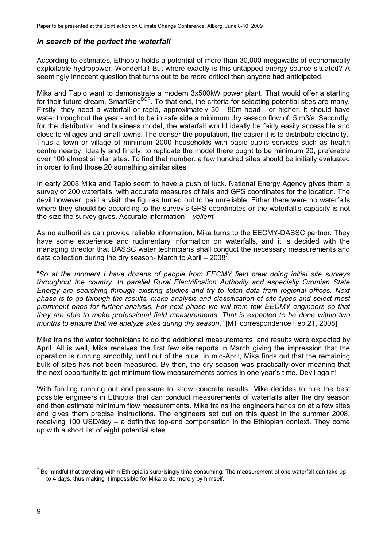#### *In search of the perfect the waterfall*

According to estimates, Ethiopia holds a potential of more than 30,000 megawatts of economically exploitable hydropower. Wonderful! But where exactly is this untapped energy source situated? A seemingly innocent question that turns out to be more critical than anyone had anticipated.

Mika and Tapio want to demonstrate a modern 3x500kW power plant. That would offer a starting for their future dream, SmartGridBOP. To that end, the criteria for selecting potential sites are many. Firstly, they need a waterfall or rapid, approximately 30 - 80m head - or higher. It should have water throughout the year - and to be in safe side a minimum dry season flow of 5 m3/s. Secondly, for the distribution and business model, the waterfall would ideally be fairly easily accessible and close to villages and small towns. The denser the population, the easier it is to distribute electricity. Thus a town or village of minimum 2000 households with basic public services such as health centre nearby. Ideally and finally, to replicate the model there ought to be minimum 20, preferable over 100 almost similar sites. To find that number, a few hundred sites should be initially evaluated in order to find those 20 something similar sites.

In early 2008 Mika and Tapio seem to have a push of luck. National Energy Agency gives them a survey of 200 waterfalls, with accurate measures of falls and GPS coordinates for the location. The devil however, paid a visit: the figures turned out to be unreliable. Either there were no waterfalls where they should be according to the survey's GPS coordinates or the waterfall's capacity is not the size the survey gives. Accurate information – *yellem*!

As no authorities can provide reliable information, Mika turns to the EECMY-DASSC partner. They have some experience and rudimentary information on waterfalls, and it is decided with the managing director that DASSC water technicians shall conduct the necessary measurements and data collection during the dry season- March to April  $-2008^7$ .

"*So at the moment I have dozens of people from EECMY field crew doing initial site surveys throughout the country. In parallel Rural Electrification Authority and especially Oromian State Energy are searching through existing studies and try to fetch data from regional offices. Next phase is to go through the results, make analysis and classification of site types and select most prominent ones for further analysis. For next phase we will train few EECMY engineers so that they are able to make professional field measurements. That is expected to be done within two months to ensure that we analyze sites during dry season*." [MT correspondence Feb 21, 2008]

Mika trains the water technicians to do the additional measurements, and results were expected by April. All is well, Mika receives the first few site reports in March giving the impression that the operation is running smoothly, until out of the blue, in mid-April, Mika finds out that the remaining bulk of sites has not been measured. By then, the dry season was practically over meaning that the next opportunity to get minimum flow measurements comes in one year's time. Devil again!

With funding running out and pressure to show concrete results, Mika decides to hire the best possible engineers in Ethiopia that can conduct measurements of waterfalls after the dry season and then estimate minimum flow measurements. Mika trains the engineers hands on at a few sites and gives them precise instructions. The engineers set out on this quest in the summer 2008, receiving 100 USD/day – a definitive top-end compensation in the Ethiopian context. They come up with a short list of eight potential sites.

 $7$  Be mindful that traveling within Ethiopia is surprisingly time consuming. The measurement of one waterfall can take up to 4 days, thus making it impossible for Mika to do merely by himself.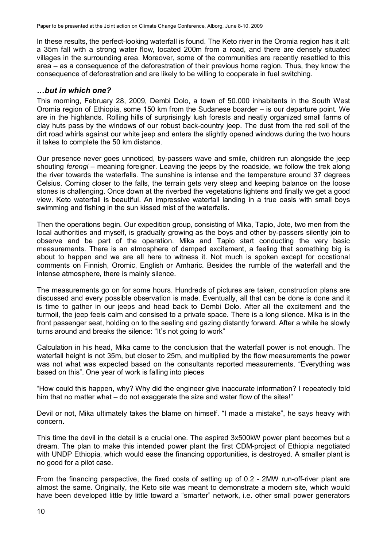In these results, the perfect-looking waterfall is found. The Keto river in the Oromia region has it all: a 35m fall with a strong water flow, located 200m from a road, and there are densely situated villages in the surrounding area. Moreover, some of the communities are recently resettled to this area – as a consequence of the deforestration of their previous home region. Thus, they know the consequence of deforestration and are likely to be willing to cooperate in fuel switching.

#### *…but in which one?*

This morning, February 28, 2009, Dembi Dolo, a town of 50.000 inhabitants in the South West Oromia region of Ethiopia, some 150 km from the Sudanese boarder – is our departure point. We are in the highlands. Rolling hills of surprisingly lush forests and neatly organized small farms of clay huts pass by the windows of our robust back-country jeep. The dust from the red soil of the dirt road whirls against our white jeep and enters the slightly opened windows during the two hours it takes to complete the 50 km distance.

Our presence never goes unnoticed, by-passers wave and smile, children run alongside the jeep shouting *ferengi* – meaning foreigner. Leaving the jeeps by the roadside, we follow the trek along the river towards the waterfalls. The sunshine is intense and the temperature around 37 degrees Celsius. Coming closer to the falls, the terrain gets very steep and keeping balance on the loose stones is challenging. Once down at the riverbed the vegetations lightens and finally we get a good view. Keto waterfall is beautiful. An impressive waterfall landing in a true oasis with small boys swimming and fishing in the sun kissed mist of the waterfalls.

Then the operations begin. Our expedition group, consisting of Mika, Tapio, Jote, two men from the local authorities and myself, is gradually growing as the boys and other by-passers silently join to observe and be part of the operation. Mika and Tapio start conducting the very basic measurements. There is an atmosphere of damped excitement, a feeling that something big is about to happen and we are all here to witness it. Not much is spoken except for occational comments on Finnish, Oromic, English or Amharic. Besides the rumble of the waterfall and the intense atmosphere, there is mainly silence.

The measurements go on for some hours. Hundreds of pictures are taken, construction plans are discussed and every possible observation is made. Eventually, all that can be done is done and it is time to gather in our jeeps and head back to Dembi Dolo. After all the excitement and the turmoil, the jeep feels calm and consised to a private space. There is a long silence. Mika is in the front passenger seat, holding on to the sealing and gazing distantly forward. After a while he slowly turns around and breaks the silence: "It's not going to work"

Calculation in his head, Mika came to the conclusion that the waterfall power is not enough. The waterfall height is not 35m, but closer to 25m, and multiplied by the flow measurements the power was not what was expected based on the consultants reported measurements. "Everything was based on this". One year of work is falling into pieces

"How could this happen, why? Why did the engineer give inaccurate information? I repeatedly told him that no matter what – do not exaggerate the size and water flow of the sites!"

Devil or not, Mika ultimately takes the blame on himself. "I made a mistake", he says heavy with concern.

This time the devil in the detail is a crucial one. The aspired 3x500kW power plant becomes but a dream. The plan to make this intended power plant the first CDM-project of Ethiopia negotiated with UNDP Ethiopia, which would ease the financing opportunities, is destroyed. A smaller plant is no good for a pilot case.

From the financing perspective, the fixed costs of setting up of 0.2 - 2MW run-off-river plant are almost the same. Originally, the Keto site was meant to demonstrate a modern site, which would have been developed little by little toward a "smarter" network, i.e. other small power generators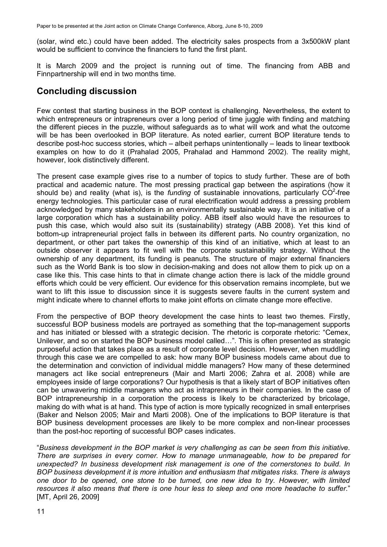(solar, wind etc.) could have been added. The electricity sales prospects from a 3x500kW plant would be sufficient to convince the financiers to fund the first plant.

It is March 2009 and the project is running out of time. The financing from ABB and Finnpartnership will end in two months time.

### **Concluding discussion**

Few contest that starting business in the BOP context is challenging. Nevertheless, the extent to which entrepreneurs or intrapreneurs over a long period of time juggle with finding and matching the different pieces in the puzzle, without safeguards as to what will work and what the outcome will be has been overlooked in BOP literature. As noted earlier, current BOP literature tends to describe post-hoc success stories, which – albeit perhaps unintentionally – leads to linear textbook examples on how to do it (Prahalad 2005, Prahalad and Hammond 2002). The reality might, however, look distinctively different.

The present case example gives rise to a number of topics to study further. These are of both practical and academic nature. The most pressing practical gap between the aspirations (how it should be) and reality (what is), is the *funding* of sustainable innovations, particularly  $CO^2$ -free energy technologies. This particular case of rural electrification would address a pressing problem acknowledged by many stakeholders in an environmentally sustainable way. It is an initiative of a large corporation which has a sustainability policy. ABB itself also would have the resources to push this case, which would also suit its (sustainability) strategy (ABB 2008). Yet this kind of bottom-up intrapreneurial project falls in between its different parts. No country organization, no department, or other part takes the ownership of this kind of an initiative, which at least to an outside observer it appears to fit well with the corporate sustainability strategy. Without the ownership of any department, its funding is peanuts. The structure of major external financiers such as the World Bank is too slow in decision-making and does not allow them to pick up on a case like this. This case hints to that in climate change action there is lack of the middle ground efforts which could be very efficient. Our evidence for this observation remains incomplete, but we want to lift this issue to discussion since it is suggests severe faults in the current system and might indicate where to channel efforts to make joint efforts on climate change more effective.

From the perspective of BOP theory development the case hints to least two themes. Firstly, successful BOP business models are portrayed as something that the top-management supports and has initiated or blessed with a strategic decision. The rhetoric is corporate rhetoric: "Cemex, Unilever, and so on started the BOP business model called…". This is often presented as strategic purposeful action that takes place as a result of corporate level decision. However, when muddling through this case we are compelled to ask: how many BOP business models came about due to the determination and conviction of individual middle managers? How many of these determined managers act like social entrepreneurs (Mair and Marti 2006; Zahra et al. 2008) while are employees inside of large corporations? Our hypothesis is that a likely start of BOP initiatives often can be unwavering middle managers who act as intrapreneurs in their companies. In the case of BOP intrapreneurship in a corporation the process is likely to be characterized by bricolage, making do with what is at hand. This type of action is more typically recognized in small enterprises (Baker and Nelson 2005; Mair and Marti 2008). One of the implications to BOP literature is that BOP business development processes are likely to be more complex and non-linear processes than the post-hoc reporting of successful BOP cases indicates.

"*Business development in the BOP market is very challenging as can be seen from this initiative. There are surprises in every corner. How to manage unmanageable, how to be prepared for unexpected? In business development risk management is one of the cornerstones to build. In BOP business development it is more intuition and enthusiasm that mitigates risks. There is always one door to be opened, one stone to be turned, one new idea to try. However, with limited resources it also means that there is one hour less to sleep and one more headache to suffer*." [MT, April 26, 2009]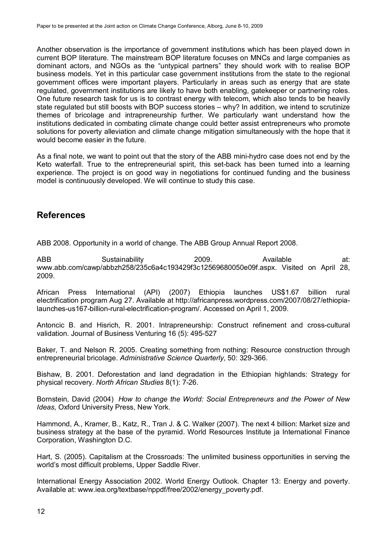Another observation is the importance of government institutions which has been played down in current BOP literature. The mainstream BOP literature focuses on MNCs and large companies as dominant actors, and NGOs as the "untypical partners" they should work with to realise BOP business models. Yet in this particular case government institutions from the state to the regional government offices were important players. Particularly in areas such as energy that are state regulated, government institutions are likely to have both enabling, gatekeeper or partnering roles. One future research task for us is to contrast energy with telecom, which also tends to be heavily state regulated but still boosts with BOP success stories – why? In addition, we intend to scrutinize themes of bricolage and intrapreneurship further. We particularly want understand how the institutions dedicated in combating climate change could better assist entrepreneurs who promote solutions for poverty alleviation and climate change mitigation simultaneously with the hope that it would become easier in the future.

As a final note, we want to point out that the story of the ABB mini-hydro case does not end by the Keto waterfall. True to the entrepreneurial spirit, this set-back has been turned into a learning experience. The project is on good way in negotiations for continued funding and the business model is continuously developed. We will continue to study this case.

### **References**

ABB 2008. Opportunity in a world of change. The ABB Group Annual Report 2008.

ABB Sustainability 2009. Available at: www.abb.com/cawp/abbzh258/235c6a4c193429f3c12569680050e09f.aspx. Visited on April 28, 2009.

African Press International (API) (2007) Ethiopia launches US\$1.67 billion rural electrification program Aug 27. Available at http://africanpress.wordpress.com/2007/08/27/ethiopialaunches-us167-billion-rural-electrification-program/. Accessed on April 1, 2009.

Antoncic B. and Hisrich, R. 2001. Intrapreneurship: Construct refinement and cross-cultural validation. Journal of Business Venturing 16 (5): 495-527

Baker, T. and Nelson R. 2005. Creating something from nothing: Resource construction through entrepreneurial bricolage. *Administrative Science Quarterly*, 50: 329-366.

Bishaw, B. 2001. Deforestation and land degradation in the Ethiopian highlands: Strategy for physical recovery. *North African Studies* 8(1): 7-26.

Bornstein, David (2004) *How to change the World: Social Entrepreneurs and the Power of New Ideas,* Oxford University Press, New York.

Hammond, A., Kramer, B., Katz, R., Tran J. & C. Walker (2007). The next 4 billion: Market size and business strategy at the base of the pyramid. World Resources Institute ja International Finance Corporation, Washington D.C.

Hart, S. (2005). Capitalism at the Crossroads: The unlimited business opportunities in serving the world's most difficult problems, Upper Saddle River.

International Energy Association 2002. World Energy Outlook. Chapter 13: Energy and poverty. Available at: www.iea.org/textbase/nppdf/free/2002/energy\_poverty.pdf.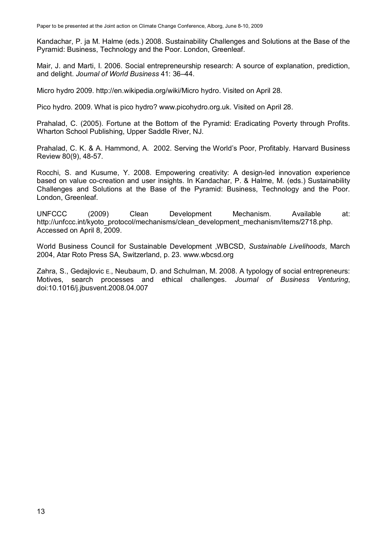Kandachar, P. ja M. Halme (eds.) 2008. Sustainability Challenges and Solutions at the Base of the Pyramid: Business, Technology and the Poor. London, Greenleaf.

Mair, J. and Marti, I. 2006. Social entrepreneurship research: A source of explanation, prediction, and delight. *Journal of World Business* 41: 36–44.

Micro hydro 2009. http://en.wikipedia.org/wiki/Micro hydro. Visited on April 28.

Pico hydro. 2009. What is pico hydro? www.picohydro.org.uk. Visited on April 28.

Prahalad, C. (2005). Fortune at the Bottom of the Pyramid: Eradicating Poverty through Profits. Wharton School Publishing, Upper Saddle River, NJ.

Prahalad, C. K. & A. Hammond, A. 2002. Serving the World's Poor, Profitably. Harvard Business Review 80(9), 48-57.

Rocchi, S. and Kusume, Y. 2008. Empowering creativity: A design-led innovation experience based on value co-creation and user insights. In Kandachar, P. & Halme, M. (eds.) Sustainability Challenges and Solutions at the Base of the Pyramid: Business, Technology and the Poor. London, Greenleaf.

UNFCCC (2009) Clean Development Mechanism. Available at: http://unfccc.int/kyoto\_protocol/mechanisms/clean\_development\_mechanism/items/2718.php. Accessed on April 8, 2009.

World Business Council for Sustainable Development ,WBCSD, *Sustainable Livelihoods*, March 2004, Atar Roto Press SA, Switzerland, p. 23. www.wbcsd.org

Zahra, S., Gedajlovic E., Neubaum, D. and Schulman, M. 2008. A typology of social entrepreneurs: Motives, search processes and ethical challenges. *Journal of Business Venturing*, doi:10.1016/j.jbusvent.2008.04.007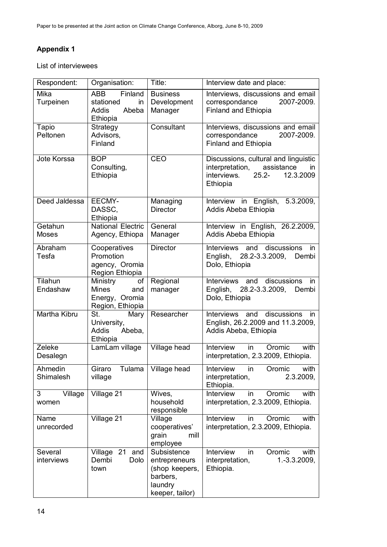## **Appendix 1**

List of interviewees

| Respondent:             | Organisation:                                                               | Title:                                                                                   | Interview date and place:                                                                                                        |
|-------------------------|-----------------------------------------------------------------------------|------------------------------------------------------------------------------------------|----------------------------------------------------------------------------------------------------------------------------------|
| Mika<br>Turpeinen       | Finland<br><b>ABB</b><br>stationed<br>in<br>Abeba<br>Addis<br>Ethiopia      | <b>Business</b><br>Development<br>Manager                                                | Interviews, discussions and email<br>2007-2009.<br>correspondance<br>Finland and Ethiopia                                        |
| Tapio<br>Peltonen       | Strategy<br>Advisors,<br>Finland                                            | Consultant                                                                               | Interviews, discussions and email<br>correspondance<br>2007-2009.<br>Finland and Ethiopia                                        |
| Jote Korssa             | <b>BOP</b><br>Consulting,<br>Ethiopia                                       | CEO                                                                                      | Discussions, cultural and linguistic<br>interpretation,<br>assistance<br>in.<br>$25.2 -$<br>interviews.<br>12.3.2009<br>Ethiopia |
| Deed Jaldessa           | EECMY-<br>DASSC,<br>Ethiopia                                                | Managing<br><b>Director</b>                                                              | Interview in English, 5.3.2009,<br>Addis Abeba Ethiopia                                                                          |
| Getahun<br><b>Moses</b> | <b>National Electric</b><br>Agency, Ethiopa                                 | General<br>Manager                                                                       | Interview in English, 26.2.2009,<br>Addis Abeba Ethiopia                                                                         |
| Abraham<br>Tesfa        | Cooperatives<br>Promotion<br>agency, Oromia<br>Region Ethiopia              | <b>Director</b>                                                                          | Interviews and discussions<br>in.<br>English, 28.2-3.3.2009,<br>Dembi<br>Dolo, Ethiopia                                          |
| Tilahun<br>Endashaw     | Ministry<br>of<br><b>Mines</b><br>and<br>Energy, Oromia<br>Region, Ethiopia | Regional<br>manager                                                                      | Interviews<br>discussions<br>and<br>in<br>English,<br>28.2-3.3.2009,<br>Dembi<br>Dolo, Ethiopia                                  |
| Martha Kibru            | St.<br>Mary<br>University,<br><b>Addis</b><br>Abeba,<br>Ethiopia            | Researcher                                                                               | Interviews and discussions<br>in<br>English, 26.2.2009 and 11.3.2009,<br>Addis Abeba, Ethiopia                                   |
| Zeleke<br>Desalegn      | LamLam village                                                              | Village head                                                                             | Interview<br>with<br>Oromic<br>in.<br>interpretation, 2.3.2009, Ethiopia.                                                        |
| Ahmedin<br>Shimalesh    | Giraro<br>village                                                           | Tulama   Village head                                                                    | Interview in<br>with<br>Oromic<br>interpretation,<br>2.3.2009,<br>Ethiopia.                                                      |
| Village<br>3<br>women   | Village 21                                                                  | Wives,<br>household<br>responsible                                                       | with<br>Interview<br>in<br>Oromic<br>interpretation, 2.3.2009, Ethiopia.                                                         |
| Name<br>unrecorded      | Village 21                                                                  | Village<br>cooperatives'<br>grain<br>mill<br>employee                                    | Interview<br>Oromic<br>with<br>in<br>interpretation, 2.3.2009, Ethiopia.                                                         |
| Several<br>interviews   | Village 21 and<br>Dembi<br>Dolo<br>town                                     | Subsistence<br>entrepreneurs<br>(shop keepers,<br>barbers,<br>laundry<br>keeper, tailor) | Interview<br>Oromic<br>with<br>in<br>interpretation,<br>$1.-3.3.2009,$<br>Ethiopia.                                              |